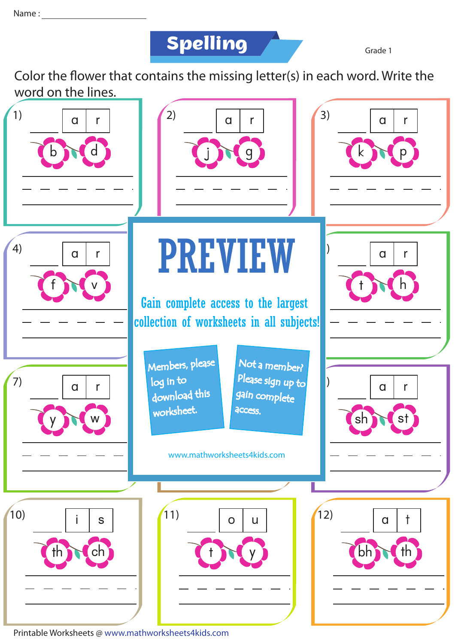**Spelling**

Grade 1

Color the flower that contains the missing letter(s) in each word. Write the word on the lines.



Printable Worksheets @ www.mathworksheets4kids.com